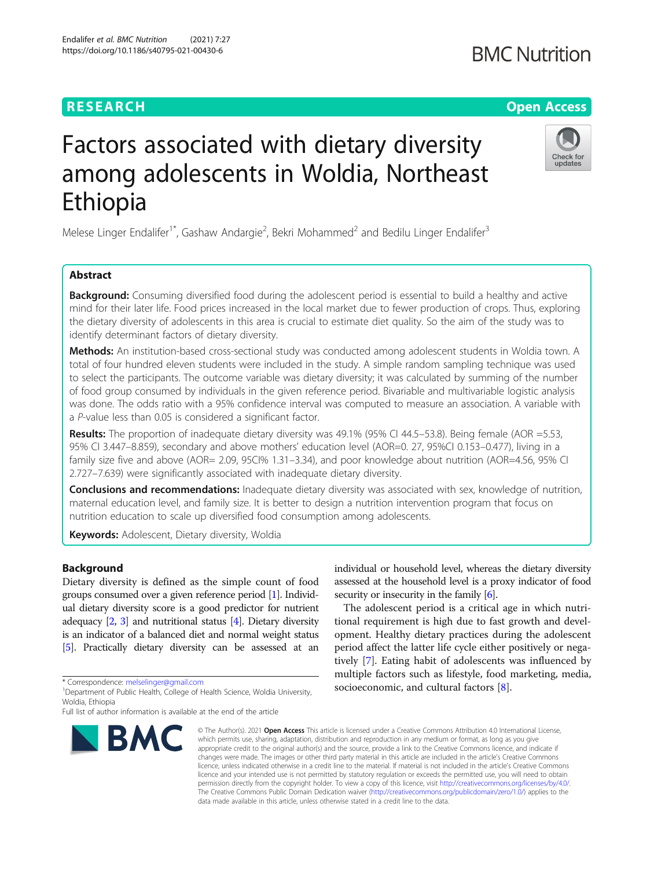## **RESEARCH CHEAR CHEAR CHEAR CHEAR CHEAR CHEAR CHEAR CHEAR CHEAR CHEAR CHEAR CHEAR CHEAR CHEAR CHEAR CHEAR CHEAR**

# Factors associated with dietary diversity among adolescents in Woldia, Northeast Ethiopia

Melese Linger Endalifer<sup>1\*</sup>, Gashaw Andargie<sup>2</sup>, Bekri Mohammed<sup>2</sup> and Bedilu Linger Endalifer<sup>3</sup>

## Abstract

**Background:** Consuming diversified food during the adolescent period is essential to build a healthy and active mind for their later life. Food prices increased in the local market due to fewer production of crops. Thus, exploring the dietary diversity of adolescents in this area is crucial to estimate diet quality. So the aim of the study was to identify determinant factors of dietary diversity.

Methods: An institution-based cross-sectional study was conducted among adolescent students in Woldia town. A total of four hundred eleven students were included in the study. A simple random sampling technique was used to select the participants. The outcome variable was dietary diversity; it was calculated by summing of the number of food group consumed by individuals in the given reference period. Bivariable and multivariable logistic analysis was done. The odds ratio with a 95% confidence interval was computed to measure an association. A variable with a P-value less than 0.05 is considered a significant factor.

Results: The proportion of inadequate dietary diversity was 49.1% (95% CI 44.5–53.8). Being female (AOR =5.53, 95% CI 3.447–8.859), secondary and above mothers' education level (AOR=0. 27, 95%CI 0.153–0.477), living in a family size five and above (AOR= 2.09, 95Cl% 1.31-3.34), and poor knowledge about nutrition (AOR=4.56, 95% CI 2.727–7.639) were significantly associated with inadequate dietary diversity.

Conclusions and recommendations: Inadequate dietary diversity was associated with sex, knowledge of nutrition, maternal education level, and family size. It is better to design a nutrition intervention program that focus on nutrition education to scale up diversified food consumption among adolescents.

**Keywords:** Adolescent, Dietary diversity, Woldia

## Background

Dietary diversity is defined as the simple count of food groups consumed over a given reference period [\[1](#page-6-0)]. Individual dietary diversity score is a good predictor for nutrient adequacy  $[2, 3]$  $[2, 3]$  $[2, 3]$  $[2, 3]$  and nutritional status  $[4]$  $[4]$  $[4]$ . Dietary diversity is an indicator of a balanced diet and normal weight status [[5](#page-6-0)]. Practically dietary diversity can be assessed at an

\* Correspondence: [melselinger@gmail.com](mailto:melselinger@gmail.com) <sup>1</sup>

individual or household level, whereas the dietary diversity assessed at the household level is a proxy indicator of food security or insecurity in the family  $[6]$  $[6]$  $[6]$ .

The adolescent period is a critical age in which nutritional requirement is high due to fast growth and development. Healthy dietary practices during the adolescent period affect the latter life cycle either positively or negatively [\[7](#page-6-0)]. Eating habit of adolescents was influenced by multiple factors such as lifestyle, food marketing, media, socioeconomic, and cultural factors [\[8](#page-6-0)].

© The Author(s), 2021 **Open Access** This article is licensed under a Creative Commons Attribution 4.0 International License, which permits use, sharing, adaptation, distribution and reproduction in any medium or format, as long as you give appropriate credit to the original author(s) and the source, provide a link to the Creative Commons licence, and indicate if changes were made. The images or other third party material in this article are included in the article's Creative Commons licence, unless indicated otherwise in a credit line to the material. If material is not included in the article's Creative Commons licence and your intended use is not permitted by statutory regulation or exceeds the permitted use, you will need to obtain permission directly from the copyright holder. To view a copy of this licence, visit [http://creativecommons.org/licenses/by/4.0/.](http://creativecommons.org/licenses/by/4.0/) The Creative Commons Public Domain Dedication waiver [\(http://creativecommons.org/publicdomain/zero/1.0/](http://creativecommons.org/publicdomain/zero/1.0/)) applies to the data made available in this article, unless otherwise stated in a credit line to the data.

## Endalifer et al. BMC Nutrition (2021) 7:27 https://doi.org/10.1186/s40795-021-00430-6



## **BMC Nutrition**

<sup>&</sup>lt;sup>1</sup> Department of Public Health, College of Health Science, Woldia University, Woldia, Ethiopia

Full list of author information is available at the end of the article

**BMC**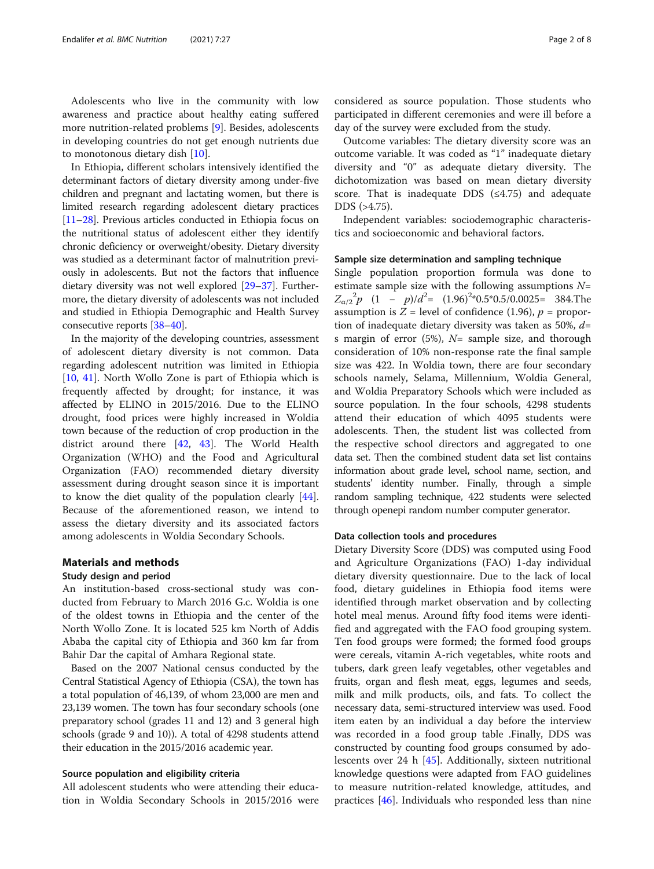Adolescents who live in the community with low awareness and practice about healthy eating suffered more nutrition-related problems [[9\]](#page-6-0). Besides, adolescents in developing countries do not get enough nutrients due to monotonous dietary dish [\[10](#page-6-0)].

In Ethiopia, different scholars intensively identified the determinant factors of dietary diversity among under-five children and pregnant and lactating women, but there is limited research regarding adolescent dietary practices [[11](#page-6-0)–[28\]](#page-6-0). Previous articles conducted in Ethiopia focus on the nutritional status of adolescent either they identify chronic deficiency or overweight/obesity. Dietary diversity was studied as a determinant factor of malnutrition previously in adolescents. But not the factors that influence dietary diversity was not well explored [[29](#page-6-0)–[37\]](#page-6-0). Furthermore, the dietary diversity of adolescents was not included and studied in Ethiopia Demographic and Health Survey consecutive reports [\[38](#page-6-0)–[40](#page-7-0)].

In the majority of the developing countries, assessment of adolescent dietary diversity is not common. Data regarding adolescent nutrition was limited in Ethiopia [[10,](#page-6-0) [41](#page-7-0)]. North Wollo Zone is part of Ethiopia which is frequently affected by drought; for instance, it was affected by ELINO in 2015/2016. Due to the ELINO drought, food prices were highly increased in Woldia town because of the reduction of crop production in the district around there [[42,](#page-7-0) [43\]](#page-7-0). The World Health Organization (WHO) and the Food and Agricultural Organization (FAO) recommended dietary diversity assessment during drought season since it is important to know the diet quality of the population clearly [\[44](#page-7-0)]. Because of the aforementioned reason, we intend to assess the dietary diversity and its associated factors among adolescents in Woldia Secondary Schools.

## Materials and methods

## Study design and period

An institution-based cross-sectional study was conducted from February to March 2016 G.c. Woldia is one of the oldest towns in Ethiopia and the center of the North Wollo Zone. It is located 525 km North of Addis Ababa the capital city of Ethiopia and 360 km far from Bahir Dar the capital of Amhara Regional state.

Based on the 2007 National census conducted by the Central Statistical Agency of Ethiopia (CSA), the town has a total population of 46,139, of whom 23,000 are men and 23,139 women. The town has four secondary schools (one preparatory school (grades 11 and 12) and 3 general high schools (grade 9 and 10)). A total of 4298 students attend their education in the 2015/2016 academic year.

## Source population and eligibility criteria

All adolescent students who were attending their education in Woldia Secondary Schools in 2015/2016 were

considered as source population. Those students who participated in different ceremonies and were ill before a day of the survey were excluded from the study.

Outcome variables: The dietary diversity score was an outcome variable. It was coded as "1" inadequate dietary diversity and "0" as adequate dietary diversity. The dichotomization was based on mean dietary diversity score. That is inadequate DDS  $(≤4.75)$  and adequate DDS (>4.75).

Independent variables: sociodemographic characteristics and socioeconomic and behavioral factors.

## Sample size determination and sampling technique

Single population proportion formula was done to estimate sample size with the following assumptions  $N=$  $Z_{\alpha/2}^2 p$  (1 - p)/ $d^2$ = (1.96)<sup>2</sup>\*0.5\*0.5/0.0025= 384.The assumption is  $Z = \text{level of confidence } (1.96)$ ,  $p = \text{proper}$ tion of inadequate dietary diversity was taken as 50%,  $d=$ s margin of error  $(5\%)$ ,  $N=$  sample size, and thorough consideration of 10% non-response rate the final sample size was 422. In Woldia town, there are four secondary schools namely, Selama, Millennium, Woldia General, and Woldia Preparatory Schools which were included as source population. In the four schools, 4298 students attend their education of which 4095 students were adolescents. Then, the student list was collected from the respective school directors and aggregated to one data set. Then the combined student data set list contains information about grade level, school name, section, and students' identity number. Finally, through a simple random sampling technique, 422 students were selected through openepi random number computer generator.

## Data collection tools and procedures

Dietary Diversity Score (DDS) was computed using Food and Agriculture Organizations (FAO) 1-day individual dietary diversity questionnaire. Due to the lack of local food, dietary guidelines in Ethiopia food items were identified through market observation and by collecting hotel meal menus. Around fifty food items were identified and aggregated with the FAO food grouping system. Ten food groups were formed; the formed food groups were cereals, vitamin A-rich vegetables, white roots and tubers, dark green leafy vegetables, other vegetables and fruits, organ and flesh meat, eggs, legumes and seeds, milk and milk products, oils, and fats. To collect the necessary data, semi-structured interview was used. Food item eaten by an individual a day before the interview was recorded in a food group table .Finally, DDS was constructed by counting food groups consumed by adolescents over 24 h [[45\]](#page-7-0). Additionally, sixteen nutritional knowledge questions were adapted from FAO guidelines to measure nutrition-related knowledge, attitudes, and practices [\[46](#page-7-0)]. Individuals who responded less than nine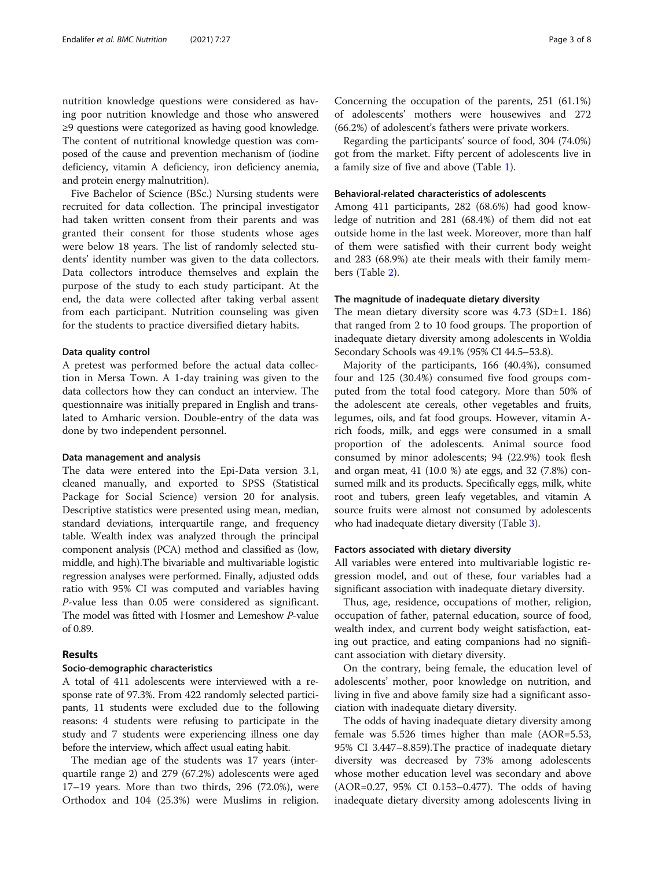nutrition knowledge questions were considered as having poor nutrition knowledge and those who answered ≥9 questions were categorized as having good knowledge. The content of nutritional knowledge question was composed of the cause and prevention mechanism of (iodine deficiency, vitamin A deficiency, iron deficiency anemia, and protein energy malnutrition).

Five Bachelor of Science (BSc.) Nursing students were recruited for data collection. The principal investigator had taken written consent from their parents and was granted their consent for those students whose ages were below 18 years. The list of randomly selected students' identity number was given to the data collectors. Data collectors introduce themselves and explain the purpose of the study to each study participant. At the end, the data were collected after taking verbal assent from each participant. Nutrition counseling was given for the students to practice diversified dietary habits.

## Data quality control

A pretest was performed before the actual data collection in Mersa Town. A 1-day training was given to the data collectors how they can conduct an interview. The questionnaire was initially prepared in English and translated to Amharic version. Double-entry of the data was done by two independent personnel.

## Data management and analysis

The data were entered into the Epi-Data version 3.1, cleaned manually, and exported to SPSS (Statistical Package for Social Science) version 20 for analysis. Descriptive statistics were presented using mean, median, standard deviations, interquartile range, and frequency table. Wealth index was analyzed through the principal component analysis (PCA) method and classified as (low, middle, and high).The bivariable and multivariable logistic regression analyses were performed. Finally, adjusted odds ratio with 95% CI was computed and variables having P-value less than 0.05 were considered as significant. The model was fitted with Hosmer and Lemeshow P-value of 0.89.

## Results

## Socio-demographic characteristics

A total of 411 adolescents were interviewed with a response rate of 97.3%. From 422 randomly selected participants, 11 students were excluded due to the following reasons: 4 students were refusing to participate in the study and 7 students were experiencing illness one day before the interview, which affect usual eating habit.

The median age of the students was 17 years (interquartile range 2) and 279 (67.2%) adolescents were aged 17–19 years. More than two thirds, 296 (72.0%), were Orthodox and 104 (25.3%) were Muslims in religion. Concerning the occupation of the parents, 251 (61.1%) of adolescents' mothers were housewives and 272 (66.2%) of adolescent's fathers were private workers.

Regarding the participants' source of food, 304 (74.0%) got from the market. Fifty percent of adolescents live in a family size of five and above (Table [1\)](#page-3-0).

## Behavioral-related characteristics of adolescents

Among 411 participants, 282 (68.6%) had good knowledge of nutrition and 281 (68.4%) of them did not eat outside home in the last week. Moreover, more than half of them were satisfied with their current body weight and 283 (68.9%) ate their meals with their family members (Table [2\)](#page-3-0).

## The magnitude of inadequate dietary diversity

The mean dietary diversity score was  $4.73$  (SD $\pm$ 1. 186) that ranged from 2 to 10 food groups. The proportion of inadequate dietary diversity among adolescents in Woldia Secondary Schools was 49.1% (95% CI 44.5–53.8).

Majority of the participants, 166 (40.4%), consumed four and 125 (30.4%) consumed five food groups computed from the total food category. More than 50% of the adolescent ate cereals, other vegetables and fruits, legumes, oils, and fat food groups. However, vitamin Arich foods, milk, and eggs were consumed in a small proportion of the adolescents. Animal source food consumed by minor adolescents; 94 (22.9%) took flesh and organ meat, 41 (10.0 %) ate eggs, and 32 (7.8%) consumed milk and its products. Specifically eggs, milk, white root and tubers, green leafy vegetables, and vitamin A source fruits were almost not consumed by adolescents who had inadequate dietary diversity (Table [3\)](#page-4-0).

## Factors associated with dietary diversity

All variables were entered into multivariable logistic regression model, and out of these, four variables had a significant association with inadequate dietary diversity.

Thus, age, residence, occupations of mother, religion, occupation of father, paternal education, source of food, wealth index, and current body weight satisfaction, eating out practice, and eating companions had no significant association with dietary diversity.

On the contrary, being female, the education level of adolescents' mother, poor knowledge on nutrition, and living in five and above family size had a significant association with inadequate dietary diversity.

The odds of having inadequate dietary diversity among female was 5.526 times higher than male (AOR=5.53, 95% CI 3.447–8.859).The practice of inadequate dietary diversity was decreased by 73% among adolescents whose mother education level was secondary and above (AOR=0.27, 95% CI 0.153–0.477). The odds of having inadequate dietary diversity among adolescents living in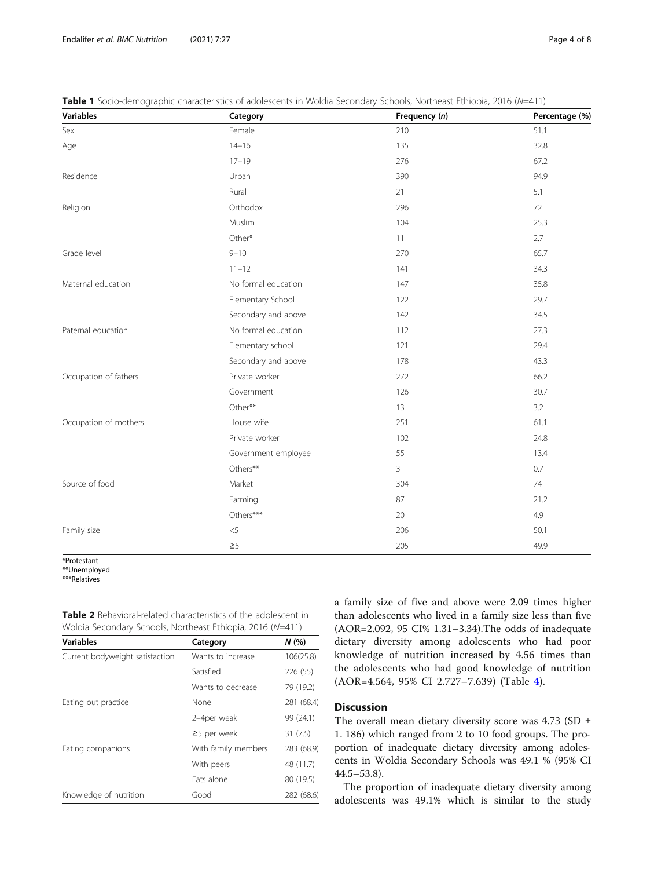| Variables             | Category            | Frequency (n) | Percentage (%) |
|-----------------------|---------------------|---------------|----------------|
| Sex                   | Female              | 210           | 51.1           |
| Age                   | $14 - 16$           | 135           | 32.8           |
|                       | $17 - 19$           | 276           | 67.2           |
| Residence             | Urban               | 390           | 94.9           |
|                       | Rural               | 21            | 5.1            |
| Religion              | Orthodox            | 296           | 72             |
|                       | Muslim              | 104           | 25.3           |
|                       | Other*              | 11            | 2.7            |
| Grade level           | $9 - 10$            | 270           | 65.7           |
|                       | $11 - 12$           | 141           | 34.3           |
| Maternal education    | No formal education | 147           | 35.8           |
|                       | Elementary School   | 122           | 29.7           |
|                       | Secondary and above | 142           | 34.5           |
| Paternal education    | No formal education | 112           | 27.3           |
|                       | Elementary school   | 121           | 29.4           |
|                       | Secondary and above | 178           | 43.3           |
| Occupation of fathers | Private worker      | 272           | 66.2           |
|                       | Government          | 126           | 30.7           |
|                       | Other**             | 13            | 3.2            |
| Occupation of mothers | House wife          | 251           | 61.1           |
|                       | Private worker      | 102           | 24.8           |
|                       | Government employee | 55            | 13.4           |
|                       | Others**            | 3             | 0.7            |
| Source of food        | Market              | 304           | 74             |
|                       | Farming             | 87            | 21.2           |
|                       | Others***           | 20            | 4.9            |
| Family size           | $< 5$               | 206           | 50.1           |
|                       | $\geq 5$            | 205           | 49.9           |

<span id="page-3-0"></span>Table 1 Socio-demographic characteristics of adolescents in Woldia Secondary Schools, Northeast Ethiopia, 2016 (N=411)

\*Protestant

\*\*Unemployed

\*\*\*Relatives

Table 2 Behavioral-related characteristics of the adolescent in Woldia Secondary Schools, Northeast Ethiopia, 2016 (N=411)

| <b>Variables</b>                | Category            | N(%        |
|---------------------------------|---------------------|------------|
| Current bodyweight satisfaction | Wants to increase   | 106(25.8)  |
|                                 | Satisfied           | 226 (55)   |
|                                 | Wants to decrease   | 79 (19.2)  |
| Eating out practice             | None                | 281 (68.4) |
|                                 | 2-4per weak         | 99 (24.1)  |
|                                 | $\geq$ 5 per week   | 31(7.5)    |
| Eating companions               | With family members | 283 (68.9) |
|                                 | With peers          | 48 (11.7)  |
|                                 | Fats alone          | 80 (19.5)  |
| Knowledge of nutrition          | Good                | 282 (68.6) |

a family size of five and above were 2.09 times higher than adolescents who lived in a family size less than five (AOR=2.092, 95 CI% 1.31–3.34).The odds of inadequate dietary diversity among adolescents who had poor knowledge of nutrition increased by 4.56 times than the adolescents who had good knowledge of nutrition (AOR=4.564, 95% CI 2.727–7.639) (Table [4](#page-4-0)).

## Discussion

The overall mean dietary diversity score was 4.73 (SD  $\pm$ 1. 186) which ranged from 2 to 10 food groups. The proportion of inadequate dietary diversity among adolescents in Woldia Secondary Schools was 49.1 % (95% CI 44.5–53.8).

The proportion of inadequate dietary diversity among adolescents was 49.1% which is similar to the study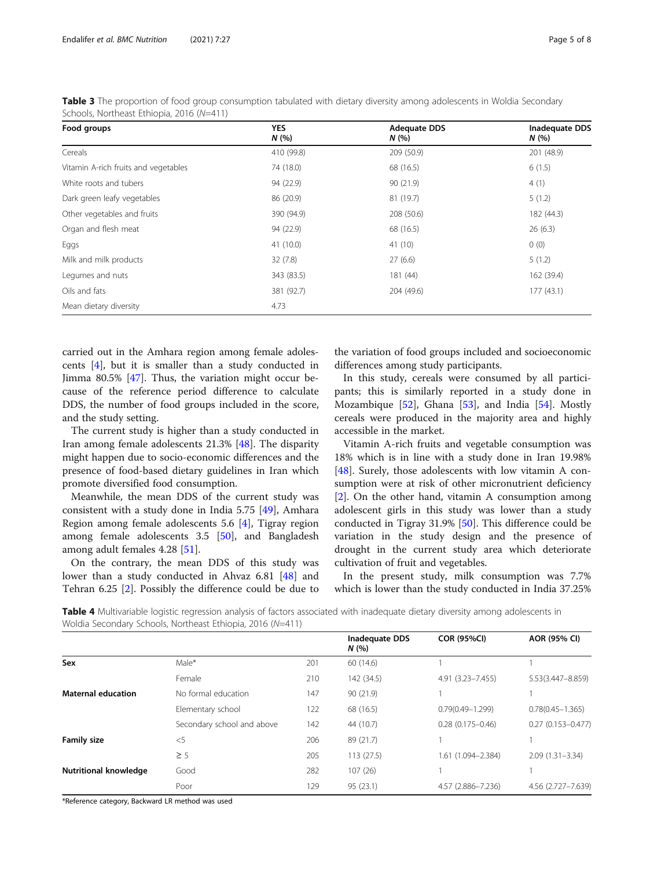| Food groups                          | <b>YES</b><br>N(% | <b>Adequate DDS</b><br>N(% | <b>Inadequate DDS</b><br>N(% |  |
|--------------------------------------|-------------------|----------------------------|------------------------------|--|
| Cereals                              | 410 (99.8)        | 209 (50.9)                 | 201 (48.9)                   |  |
| Vitamin A-rich fruits and vegetables | 74 (18.0)         | 68 (16.5)                  | 6(1.5)                       |  |
| White roots and tubers               | 94 (22.9)         | 90 (21.9)                  | 4(1)                         |  |
| Dark green leafy vegetables          | 86 (20.9)         | 81 (19.7)                  | 5(1.2)                       |  |
| Other vegetables and fruits          | 390 (94.9)        | 208 (50.6)                 | 182 (44.3)                   |  |
| Organ and flesh meat                 | 94 (22.9)         | 68 (16.5)                  | 26(6.3)                      |  |
| Eggs                                 | 41 (10.0)         | 41(10)                     | 0(0)                         |  |
| Milk and milk products               | 32(7.8)           | 27(6.6)                    | 5(1.2)                       |  |
| Legumes and nuts                     | 343 (83.5)        | 181 (44)                   | 162 (39.4)                   |  |
| Oils and fats                        | 381 (92.7)        | 204 (49.6)                 | 177(43.1)                    |  |
| Mean dietary diversity               | 4.73              |                            |                              |  |

<span id="page-4-0"></span>Table 3 The proportion of food group consumption tabulated with dietary diversity among adolescents in Woldia Secondary Schools, Northeast Ethiopia, 2016 (N=411)

carried out in the Amhara region among female adolescents [[4\]](#page-6-0), but it is smaller than a study conducted in Jimma 80.5% [\[47](#page-7-0)]. Thus, the variation might occur because of the reference period difference to calculate DDS, the number of food groups included in the score, and the study setting.

The current study is higher than a study conducted in Iran among female adolescents 21.3% [[48\]](#page-7-0). The disparity might happen due to socio-economic differences and the presence of food-based dietary guidelines in Iran which promote diversified food consumption.

Meanwhile, the mean DDS of the current study was consistent with a study done in India 5.75 [[49\]](#page-7-0), Amhara Region among female adolescents 5.6 [\[4](#page-6-0)], Tigray region among female adolescents 3.5 [[50](#page-7-0)], and Bangladesh among adult females 4.28 [[51](#page-7-0)].

On the contrary, the mean DDS of this study was lower than a study conducted in Ahvaz 6.81 [[48\]](#page-7-0) and Tehran 6.25 [[2\]](#page-6-0). Possibly the difference could be due to

the variation of food groups included and socioeconomic differences among study participants.

In this study, cereals were consumed by all participants; this is similarly reported in a study done in Mozambique  $[52]$  $[52]$  $[52]$ , Ghana  $[53]$  $[53]$ , and India  $[54]$  $[54]$ . Mostly cereals were produced in the majority area and highly accessible in the market.

Vitamin A-rich fruits and vegetable consumption was 18% which is in line with a study done in Iran 19.98% [[48\]](#page-7-0). Surely, those adolescents with low vitamin A consumption were at risk of other micronutrient deficiency [[2\]](#page-6-0). On the other hand, vitamin A consumption among adolescent girls in this study was lower than a study conducted in Tigray 31.9% [[50\]](#page-7-0). This difference could be variation in the study design and the presence of drought in the current study area which deteriorate cultivation of fruit and vegetables.

In the present study, milk consumption was 7.7% which is lower than the study conducted in India 37.25%

Table 4 Multivariable logistic regression analysis of factors associated with inadequate dietary diversity among adolescents in Woldia Secondary Schools, Northeast Ethiopia, 2016 (N=411)

|                              |                            |     | <b>Inadequate DDS</b><br>N(% | <b>COR (95%CI)</b>   | AOR (95% CI)          |
|------------------------------|----------------------------|-----|------------------------------|----------------------|-----------------------|
| Sex                          | $Male^*$                   | 201 | 60 (14.6)                    |                      |                       |
|                              | Female                     | 210 | 142 (34.5)                   | 4.91 (3.23-7.455)    | 5.53(3.447-8.859)     |
| <b>Maternal education</b>    | No formal education        | 147 | 90 (21.9)                    |                      |                       |
|                              | Elementary school          | 122 | 68 (16.5)                    | $0.79(0.49 - 1.299)$ | $0.78(0.45 - 1.365)$  |
|                              | Secondary school and above | 142 | 44 (10.7)                    | $0.28(0.175 - 0.46)$ | $0.27(0.153 - 0.477)$ |
| <b>Family size</b>           | $<$ 5                      | 206 | 89 (21.7)                    |                      |                       |
|                              | $\geq$ 5                   | 205 | 113(27.5)                    | 1.61 (1.094-2.384)   | $2.09(1.31 - 3.34)$   |
| <b>Nutritional knowledge</b> | Good                       | 282 | 107(26)                      |                      |                       |
|                              | Poor                       | 129 | 95 (23.1)                    | 4.57 (2.886-7.236)   | 4.56 (2.727-7.639)    |

\*Reference category, Backward LR method was used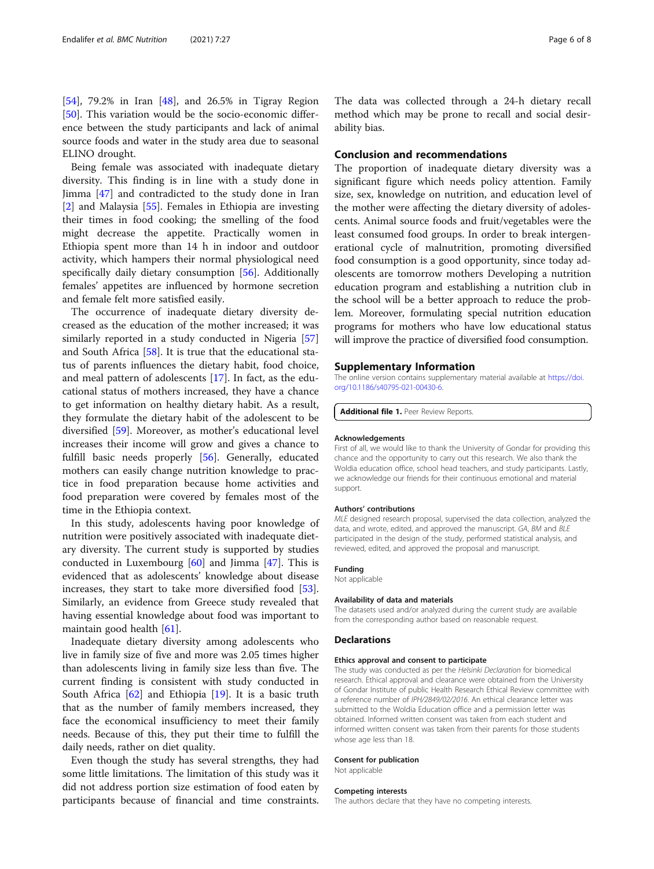[[54\]](#page-7-0), 79.2% in Iran [[48\]](#page-7-0), and 26.5% in Tigray Region [[50\]](#page-7-0). This variation would be the socio-economic difference between the study participants and lack of animal source foods and water in the study area due to seasonal ELINO drought.

Being female was associated with inadequate dietary diversity. This finding is in line with a study done in Jimma [\[47](#page-7-0)] and contradicted to the study done in Iran [[2\]](#page-6-0) and Malaysia [[55\]](#page-7-0). Females in Ethiopia are investing their times in food cooking; the smelling of the food might decrease the appetite. Practically women in Ethiopia spent more than 14 h in indoor and outdoor activity, which hampers their normal physiological need specifically daily dietary consumption [\[56\]](#page-7-0). Additionally females' appetites are influenced by hormone secretion and female felt more satisfied easily.

The occurrence of inadequate dietary diversity decreased as the education of the mother increased; it was similarly reported in a study conducted in Nigeria [[57](#page-7-0)] and South Africa [\[58\]](#page-7-0). It is true that the educational status of parents influences the dietary habit, food choice, and meal pattern of adolescents [\[17](#page-6-0)]. In fact, as the educational status of mothers increased, they have a chance to get information on healthy dietary habit. As a result, they formulate the dietary habit of the adolescent to be diversified [\[59](#page-7-0)]. Moreover, as mother's educational level increases their income will grow and gives a chance to fulfill basic needs properly [[56\]](#page-7-0). Generally, educated mothers can easily change nutrition knowledge to practice in food preparation because home activities and food preparation were covered by females most of the time in the Ethiopia context.

In this study, adolescents having poor knowledge of nutrition were positively associated with inadequate dietary diversity. The current study is supported by studies conducted in Luxembourg [\[60\]](#page-7-0) and Jimma [\[47](#page-7-0)]. This is evidenced that as adolescents' knowledge about disease increases, they start to take more diversified food [\[53](#page-7-0)]. Similarly, an evidence from Greece study revealed that having essential knowledge about food was important to maintain good health [\[61\]](#page-7-0).

Inadequate dietary diversity among adolescents who live in family size of five and more was 2.05 times higher than adolescents living in family size less than five. The current finding is consistent with study conducted in South Africa  $[62]$  $[62]$  and Ethiopia  $[19]$  $[19]$ . It is a basic truth that as the number of family members increased, they face the economical insufficiency to meet their family needs. Because of this, they put their time to fulfill the daily needs, rather on diet quality.

Even though the study has several strengths, they had some little limitations. The limitation of this study was it did not address portion size estimation of food eaten by participants because of financial and time constraints.

The data was collected through a 24-h dietary recall method which may be prone to recall and social desirability bias.

## Conclusion and recommendations

The proportion of inadequate dietary diversity was a significant figure which needs policy attention. Family size, sex, knowledge on nutrition, and education level of the mother were affecting the dietary diversity of adolescents. Animal source foods and fruit/vegetables were the least consumed food groups. In order to break intergenerational cycle of malnutrition, promoting diversified food consumption is a good opportunity, since today adolescents are tomorrow mothers Developing a nutrition education program and establishing a nutrition club in the school will be a better approach to reduce the problem. Moreover, formulating special nutrition education programs for mothers who have low educational status will improve the practice of diversified food consumption.

## Supplementary Information

The online version contains supplementary material available at [https://doi.](https://doi.org/10.1186/s40795-021-00430-6) [org/10.1186/s40795-021-00430-6.](https://doi.org/10.1186/s40795-021-00430-6)

Additional file 1. Peer Review Reports.

#### Acknowledgements

First of all, we would like to thank the University of Gondar for providing this chance and the opportunity to carry out this research. We also thank the Woldia education office, school head teachers, and study participants. Lastly, we acknowledge our friends for their continuous emotional and material support.

### Authors' contributions

MLE designed research proposal, supervised the data collection, analyzed the data, and wrote, edited, and approved the manuscript. GA, BM and BLE participated in the design of the study, performed statistical analysis, and reviewed, edited, and approved the proposal and manuscript.

## Funding

Not applicable

## Availability of data and materials

The datasets used and/or analyzed during the current study are available from the corresponding author based on reasonable request.

## **Declarations**

### Ethics approval and consent to participate

The study was conducted as per the Helsinki Declaration for biomedical research. Ethical approval and clearance were obtained from the University of Gondar Institute of public Health Research Ethical Review committee with a reference number of IPH/2849/02/2016. An ethical clearance letter was submitted to the Woldia Education office and a permission letter was obtained. Informed written consent was taken from each student and informed written consent was taken from their parents for those students whose age less than 18.

#### Consent for publication

Not applicable

## Competing interests

The authors declare that they have no competing interests.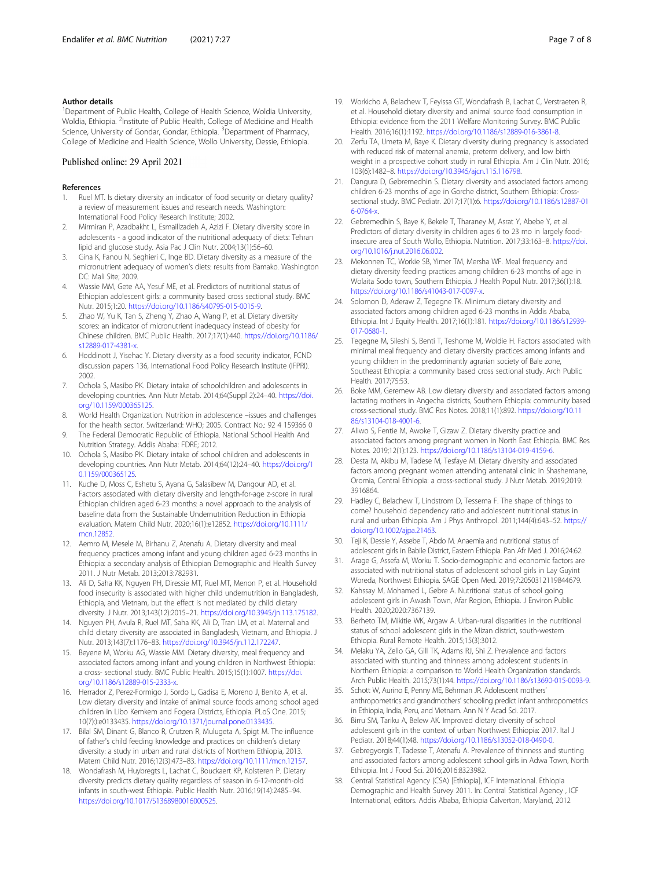## <span id="page-6-0"></span>Author details

<sup>1</sup>Department of Public Health, College of Health Science, Woldia University, Woldia, Ethiopia. <sup>2</sup>Institute of Public Health, College of Medicine and Health Science, University of Gondar, Gondar, Ethiopia. <sup>3</sup>Department of Pharmacy, College of Medicine and Health Science, Wollo University, Dessie, Ethiopia.

## Published online: 29 April 2021

### References

- 1. Ruel MT. Is dietary diversity an indicator of food security or dietary quality? a review of measurement issues and research needs. Washington: International Food Policy Research Institute; 2002.
- 2. Mirmiran P, Azadbakht L, Esmaillzadeh A, Azizi F. Dietary diversity score in adolescents - a good indicator of the nutritional adequacy of diets: Tehran lipid and glucose study. Asia Pac J Clin Nutr. 2004;13(1):56–60.
- 3. Gina K, Fanou N, Seghieri C, Inge BD. Dietary diversity as a measure of the micronutrient adequacy of women's diets: results from Bamako. Washington DC: Mali Site; 2009.
- 4. Wassie MM, Gete AA, Yesuf ME, et al. Predictors of nutritional status of Ethiopian adolescent girls: a community based cross sectional study. BMC Nutr. 2015;1:20. <https://doi.org/10.1186/s40795-015-0015-9>.
- Zhao W, Yu K, Tan S, Zheng Y, Zhao A, Wang P, et al. Dietary diversity scores: an indicator of micronutrient inadequacy instead of obesity for Chinese children. BMC Public Health. 2017;17(1):440. [https://doi.org/10.1186/](https://doi.org/10.1186/s12889-017-4381-x) [s12889-017-4381-x](https://doi.org/10.1186/s12889-017-4381-x).
- 6. Hoddinott J, Yisehac Y. Dietary diversity as a food security indicator, FCND discussion papers 136, International Food Policy Research Institute (IFPRI). 2002.
- 7. Ochola S, Masibo PK. Dietary intake of schoolchildren and adolescents in developing countries. Ann Nutr Metab. 2014;64(Suppl 2):24–40. [https://doi.](https://doi.org/10.1159/000365125) [org/10.1159/000365125.](https://doi.org/10.1159/000365125)
- 8. World Health Organization. Nutrition in adolescence –issues and challenges for the health sector. Switzerland: WHO; 2005. Contract No.: 92 4 159366 0
- 9. The Federal Democratic Republic of Ethiopia. National School Health And Nutrition Strategy. Addis Ababa: FDRE; 2012.
- 10. Ochola S, Masibo PK. Dietary intake of school children and adolescents in developing countries. Ann Nutr Metab. 2014;64(12):24–40. [https://doi.org/1](https://doi.org/10.1159/000365125) [0.1159/000365125](https://doi.org/10.1159/000365125).
- 11. Kuche D, Moss C, Eshetu S, Ayana G, Salasibew M, Dangour AD, et al. Factors associated with dietary diversity and length-for-age z-score in rural Ethiopian children aged 6-23 months: a novel approach to the analysis of baseline data from the Sustainable Undernutrition Reduction in Ethiopia evaluation. Matern Child Nutr. 2020;16(1):e12852. [https://doi.org/10.1111/](https://doi.org/10.1111/mcn.12852) [mcn.12852.](https://doi.org/10.1111/mcn.12852)
- 12. Aemro M, Mesele M, Birhanu Z, Atenafu A. Dietary diversity and meal frequency practices among infant and young children aged 6-23 months in Ethiopia: a secondary analysis of Ethiopian Demographic and Health Survey 2011. J Nutr Metab. 2013;2013:782931.
- 13. Ali D, Saha KK, Nguyen PH, Diressie MT, Ruel MT, Menon P, et al. Household food insecurity is associated with higher child undernutrition in Bangladesh, Ethiopia, and Vietnam, but the effect is not mediated by child dietary diversity. J Nutr. 2013;143(12):2015–21. [https://doi.org/10.3945/jn.113.175182.](https://doi.org/10.3945/jn.113.175182)
- 14. Nguyen PH, Avula R, Ruel MT, Saha KK, Ali D, Tran LM, et al. Maternal and child dietary diversity are associated in Bangladesh, Vietnam, and Ethiopia. J Nutr. 2013;143(7):1176–83. [https://doi.org/10.3945/jn.112.172247.](https://doi.org/10.3945/jn.112.172247)
- 15. Beyene M, Worku AG, Wassie MM. Dietary diversity, meal frequency and associated factors among infant and young children in Northwest Ethiopia: a cross- sectional study. BMC Public Health. 2015;15(1):1007. [https://doi.](https://doi.org/10.1186/s12889-015-2333-x) [org/10.1186/s12889-015-2333-x.](https://doi.org/10.1186/s12889-015-2333-x)
- 16. Herrador Z, Perez-Formigo J, Sordo L, Gadisa E, Moreno J, Benito A, et al. Low dietary diversity and intake of animal source foods among school aged children in Libo Kemkem and Fogera Districts, Ethiopia. PLoS One. 2015; 10(7):):e0133435. <https://doi.org/10.1371/journal.pone.0133435>.
- 17. Bilal SM, Dinant G, Blanco R, Crutzen R, Mulugeta A, Spigt M. The influence of father's child feeding knowledge and practices on children's dietary diversity: a study in urban and rural districts of Northern Ethiopia, 2013. Matern Child Nutr. 2016;12(3):473–83. [https://doi.org/10.1111/mcn.12157.](https://doi.org/10.1111/mcn.12157)
- 18. Wondafrash M, Huybregts L, Lachat C, Bouckaert KP, Kolsteren P. Dietary diversity predicts dietary quality regardless of season in 6-12-month-old infants in south-west Ethiopia. Public Health Nutr. 2016;19(14):2485–94. [https://doi.org/10.1017/S1368980016000525.](https://doi.org/10.1017/S1368980016000525)
- 19. Workicho A, Belachew T, Feyissa GT, Wondafrash B, Lachat C, Verstraeten R, et al. Household dietary diversity and animal source food consumption in Ethiopia: evidence from the 2011 Welfare Monitoring Survey. BMC Public Health. 2016;16(1):1192. [https://doi.org/10.1186/s12889-016-3861-8.](https://doi.org/10.1186/s12889-016-3861-8)
- 20. Zerfu TA, Umeta M, Baye K. Dietary diversity during pregnancy is associated with reduced risk of maternal anemia, preterm delivery, and low birth weight in a prospective cohort study in rural Ethiopia. Am J Clin Nutr. 2016; 103(6):1482–8. <https://doi.org/10.3945/ajcn.115.116798>.
- 21. Dangura D, Gebremedhin S. Dietary diversity and associated factors among children 6-23 months of age in Gorche district, Southern Ethiopia: Crosssectional study. BMC Pediatr. 2017;17(1):6. [https://doi.org/10.1186/s12887-01](https://doi.org/10.1186/s12887-016-0764-x) [6-0764-x.](https://doi.org/10.1186/s12887-016-0764-x)
- 22. Gebremedhin S, Baye K, Bekele T, Tharaney M, Asrat Y, Abebe Y, et al. Predictors of dietary diversity in children ages 6 to 23 mo in largely foodinsecure area of South Wollo, Ethiopia. Nutrition. 2017;33:163–8. [https://doi.](https://doi.org/10.1016/j.nut.2016.06.002) [org/10.1016/j.nut.2016.06.002.](https://doi.org/10.1016/j.nut.2016.06.002)
- 23. Mekonnen TC, Workie SB, Yimer TM, Mersha WF. Meal frequency and dietary diversity feeding practices among children 6-23 months of age in Wolaita Sodo town, Southern Ethiopia. J Health Popul Nutr. 2017;36(1):18. [https://doi.org/10.1186/s41043-017-0097-x.](https://doi.org/10.1186/s41043-017-0097-x)
- 24. Solomon D, Aderaw Z, Tegegne TK. Minimum dietary diversity and associated factors among children aged 6-23 months in Addis Ababa, Ethiopia. Int J Equity Health. 2017;16(1):181. [https://doi.org/10.1186/s12939-](https://doi.org/10.1186/s12939-017-0680-1) [017-0680-1](https://doi.org/10.1186/s12939-017-0680-1).
- 25. Tegegne M, Sileshi S, Benti T, Teshome M, Woldie H. Factors associated with minimal meal frequency and dietary diversity practices among infants and young children in the predominantly agrarian society of Bale zone, Southeast Ethiopia: a community based cross sectional study. Arch Public Health. 2017;75:53.
- 26. Boke MM, Geremew AB. Low dietary diversity and associated factors among lactating mothers in Angecha districts, Southern Ethiopia: community based cross-sectional study. BMC Res Notes. 2018;11(1):892. [https://doi.org/10.11](https://doi.org/10.1186/s13104-018-4001-6) [86/s13104-018-4001-6](https://doi.org/10.1186/s13104-018-4001-6).
- 27. Aliwo S, Fentie M, Awoke T, Gizaw Z. Dietary diversity practice and associated factors among pregnant women in North East Ethiopia. BMC Res Notes. 2019;12(1):123. <https://doi.org/10.1186/s13104-019-4159-6>.
- 28. Desta M, Akibu M, Tadese M, Tesfaye M. Dietary diversity and associated factors among pregnant women attending antenatal clinic in Shashemane, Oromia, Central Ethiopia: a cross-sectional study. J Nutr Metab. 2019;2019: 3916864.
- 29. Hadley C, Belachew T, Lindstrom D, Tessema F. The shape of things to come? household dependency ratio and adolescent nutritional status in rural and urban Ethiopia. Am J Phys Anthropol. 2011;144(4):643–52. [https://](https://doi.org/10.1002/ajpa.21463) [doi.org/10.1002/ajpa.21463](https://doi.org/10.1002/ajpa.21463).
- 30. Teji K, Dessie Y, Assebe T, Abdo M. Anaemia and nutritional status of adolescent girls in Babile District, Eastern Ethiopia. Pan Afr Med J. 2016;24:62.
- 31. Arage G, Assefa M, Worku T. Socio-demographic and economic factors are associated with nutritional status of adolescent school girls in Lay Guyint Woreda, Northwest Ethiopia. SAGE Open Med. 2019;7:2050312119844679.
- 32. Kahssay M, Mohamed L, Gebre A. Nutritional status of school going adolescent girls in Awash Town, Afar Region, Ethiopia. J Environ Public Health. 2020;2020:7367139.
- 33. Berheto TM, Mikitie WK, Argaw A. Urban-rural disparities in the nutritional status of school adolescent girls in the Mizan district, south-western Ethiopia. Rural Remote Health. 2015;15(3):3012.
- 34. Melaku YA, Zello GA, Gill TK, Adams RJ, Shi Z. Prevalence and factors associated with stunting and thinness among adolescent students in Northern Ethiopia: a comparison to World Health Organization standards. Arch Public Health. 2015;73(1):44. [https://doi.org/10.1186/s13690-015-0093-9.](https://doi.org/10.1186/s13690-015-0093-9)
- 35. Schott W, Aurino E, Penny ME, Behrman JR. Adolescent mothers' anthropometrics and grandmothers' schooling predict infant anthropometrics in Ethiopia, India, Peru, and Vietnam. Ann N Y Acad Sci. 2017.
- 36. Birru SM, Tariku A, Belew AK. Improved dietary diversity of school adolescent girls in the context of urban Northwest Ethiopia: 2017. Ital J Pediatr. 2018;44(1):48. <https://doi.org/10.1186/s13052-018-0490-0>.
- 37. Gebregyorgis T, Tadesse T, Atenafu A. Prevalence of thinness and stunting and associated factors among adolescent school girls in Adwa Town, North Ethiopia. Int J Food Sci. 2016;2016:8323982.
- 38. Central Statistical Agency (CSA) [Ethiopia], ICF International. Ethiopia Demographic and Health Survey 2011. In: Central Statistical Agency , ICF International, editors. Addis Ababa, Ethiopia Calverton, Maryland, 2012